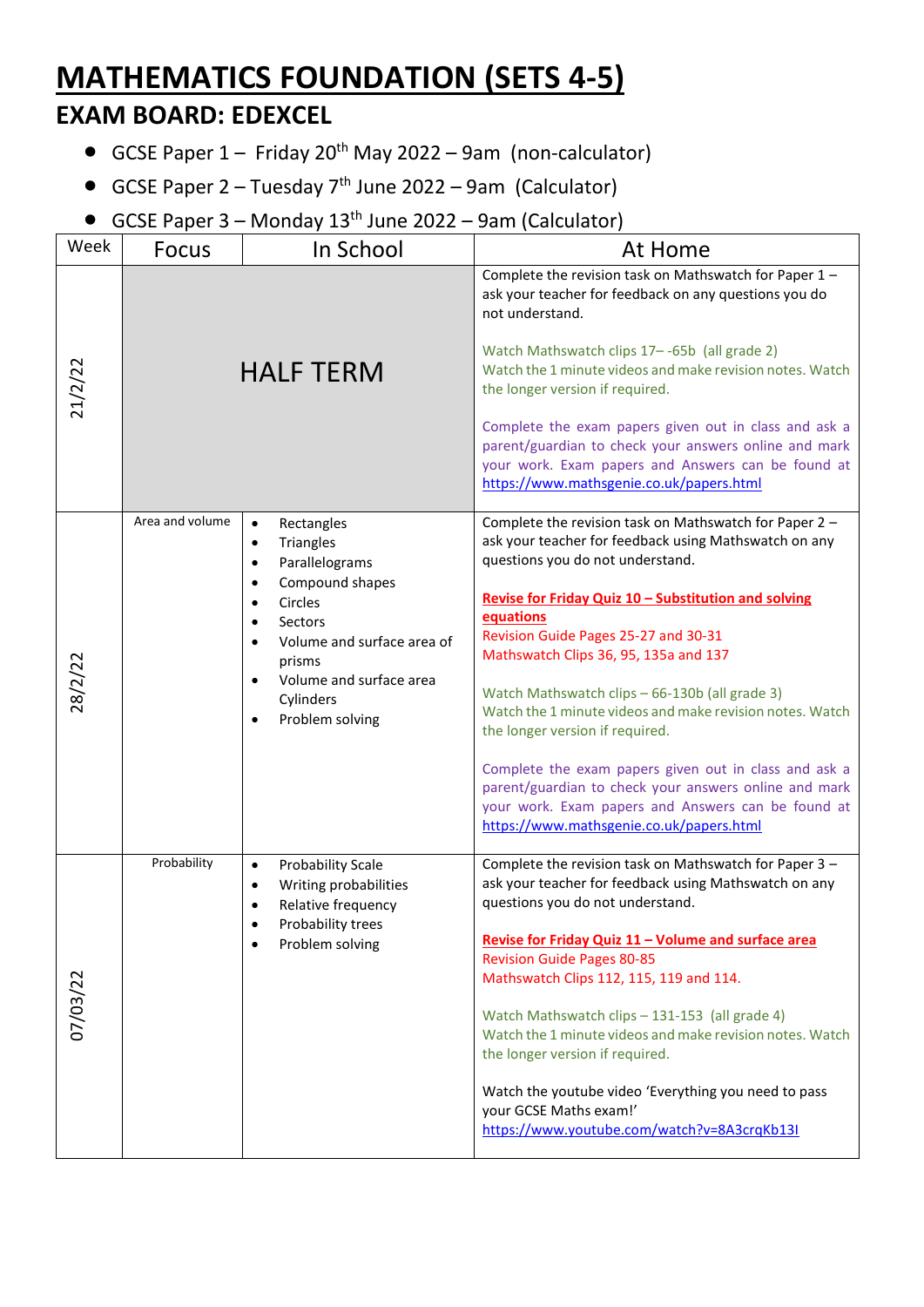## **MATHEMATICS FOUNDATION (SETS 4-5) EXAM BOARD: EDEXCEL**

- GCSE Paper  $1 -$  Friday 20<sup>th</sup> May 2022 9am (non-calculator)
- GCSE Paper  $2 -$  Tuesday  $7<sup>th</sup>$  June 2022 9am (Calculator)
- GCSE Paper  $3$  Monday  $13<sup>th</sup>$  June 2022 9am (Calculator)

| Week     | <b>Focus</b>    | In School                                                                                                                                                                                                                                                                                                  | At Home                                                                                                                                                                                                                                                                                                                                                                                                                                                                                                                                                                                                                                                                        |
|----------|-----------------|------------------------------------------------------------------------------------------------------------------------------------------------------------------------------------------------------------------------------------------------------------------------------------------------------------|--------------------------------------------------------------------------------------------------------------------------------------------------------------------------------------------------------------------------------------------------------------------------------------------------------------------------------------------------------------------------------------------------------------------------------------------------------------------------------------------------------------------------------------------------------------------------------------------------------------------------------------------------------------------------------|
| 21/2/22  |                 | <b>HALF TERM</b>                                                                                                                                                                                                                                                                                           | Complete the revision task on Mathswatch for Paper 1 -<br>ask your teacher for feedback on any questions you do<br>not understand.<br>Watch Mathswatch clips 17--65b (all grade 2)<br>Watch the 1 minute videos and make revision notes. Watch<br>the longer version if required.<br>Complete the exam papers given out in class and ask a<br>parent/guardian to check your answers online and mark<br>your work. Exam papers and Answers can be found at<br>https://www.mathsgenie.co.uk/papers.html                                                                                                                                                                          |
|          | Area and volume | Rectangles<br>$\bullet$<br>Triangles<br>$\bullet$<br>Parallelograms<br>$\bullet$<br>Compound shapes<br>$\bullet$<br>Circles<br>$\bullet$<br>Sectors<br>$\bullet$<br>Volume and surface area of<br>$\bullet$<br>prisms<br>Volume and surface area<br>$\bullet$<br>Cylinders<br>Problem solving<br>$\bullet$ | Complete the revision task on Mathswatch for Paper 2 -<br>ask your teacher for feedback using Mathswatch on any<br>questions you do not understand.<br>Revise for Friday Quiz 10 - Substitution and solving<br>equations<br>Revision Guide Pages 25-27 and 30-31<br>Mathswatch Clips 36, 95, 135a and 137<br>Watch Mathswatch clips - 66-130b (all grade 3)<br>Watch the 1 minute videos and make revision notes. Watch<br>the longer version if required.<br>Complete the exam papers given out in class and ask a<br>parent/guardian to check your answers online and mark<br>your work. Exam papers and Answers can be found at<br>https://www.mathsgenie.co.uk/papers.html |
| 07/03/22 | Probability     | <b>Probability Scale</b><br>$\bullet$<br>Writing probabilities<br>$\bullet$<br>Relative frequency<br>Probability trees<br>Problem solving                                                                                                                                                                  | Complete the revision task on Mathswatch for Paper 3 -<br>ask your teacher for feedback using Mathswatch on any<br>questions you do not understand.<br>Revise for Friday Quiz 11 - Volume and surface area<br><b>Revision Guide Pages 80-85</b><br>Mathswatch Clips 112, 115, 119 and 114.<br>Watch Mathswatch clips - 131-153 (all grade 4)<br>Watch the 1 minute videos and make revision notes. Watch<br>the longer version if required.<br>Watch the youtube video 'Everything you need to pass<br>your GCSE Maths exam!'<br>https://www.youtube.com/watch?v=8A3crqKb13I                                                                                                   |